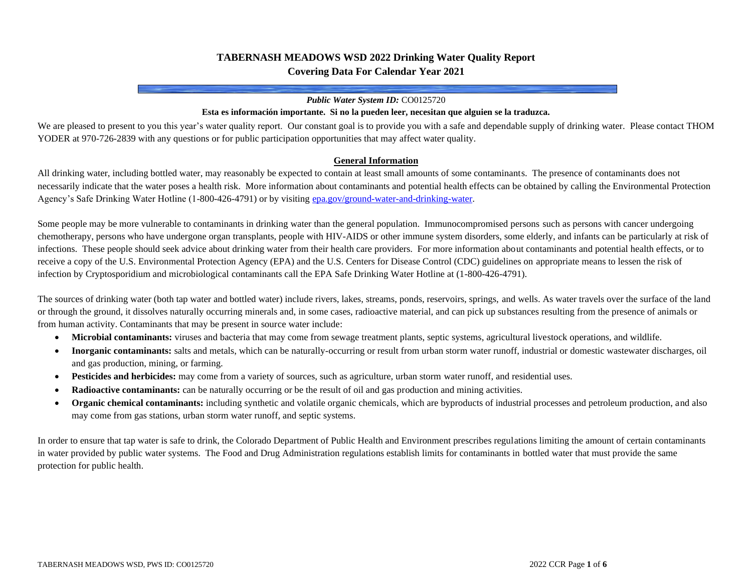## **TABERNASH MEADOWS WSD 2022 Drinking Water Quality Report Covering Data For Calendar Year 2021**

#### *Public Water System ID:* CO0125720

#### **Esta es información importante. Si no la pueden leer, necesitan que alguien se la traduzca.**

We are pleased to present to you this year's water quality report. Our constant goal is to provide you with a safe and dependable supply of drinking water. Please contact THOM YODER at 970-726-2839 with any questions or for public participation opportunities that may affect water quality.

#### **General Information**

All drinking water, including bottled water, may reasonably be expected to contain at least small amounts of some contaminants. The presence of contaminants does not necessarily indicate that the water poses a health risk. More information about contaminants and potential health effects can be obtained by calling the Environmental Protection Agency's Safe Drinking Water Hotline (1-800-426-4791) or by visitin[g epa.gov/ground-water-and-drinking-water.](https://www.epa.gov/ground-water-and-drinking-water)

Some people may be more vulnerable to contaminants in drinking water than the general population. Immunocompromised persons such as persons with cancer undergoing chemotherapy, persons who have undergone organ transplants, people with HIV-AIDS or other immune system disorders, some elderly, and infants can be particularly at risk of infections. These people should seek advice about drinking water from their health care providers. For more information about contaminants and potential health effects, or to receive a copy of the U.S. Environmental Protection Agency (EPA) and the U.S. Centers for Disease Control (CDC) guidelines on appropriate means to lessen the risk of infection by Cryptosporidium and microbiological contaminants call the EPA Safe Drinking Water Hotline at (1-800-426-4791).

The sources of drinking water (both tap water and bottled water) include rivers, lakes, streams, ponds, reservoirs, springs, and wells. As water travels over the surface of the land or through the ground, it dissolves naturally occurring minerals and, in some cases, radioactive material, and can pick up substances resulting from the presence of animals or from human activity. Contaminants that may be present in source water include:

- **Microbial contaminants:** viruses and bacteria that may come from sewage treatment plants, septic systems, agricultural livestock operations, and wildlife.
- **Inorganic contaminants:** salts and metals, which can be naturally-occurring or result from urban storm water runoff, industrial or domestic wastewater discharges, oil and gas production, mining, or farming.
- **Pesticides and herbicides:** may come from a variety of sources, such as agriculture, urban storm water runoff, and residential uses.
- **Radioactive contaminants:** can be naturally occurring or be the result of oil and gas production and mining activities.
- **Organic chemical contaminants:** including synthetic and volatile organic chemicals, which are byproducts of industrial processes and petroleum production, and also may come from gas stations, urban storm water runoff, and septic systems.

In order to ensure that tap water is safe to drink, the Colorado Department of Public Health and Environment prescribes regulations limiting the amount of certain contaminants in water provided by public water systems. The Food and Drug Administration regulations establish limits for contaminants in bottled water that must provide the same protection for public health.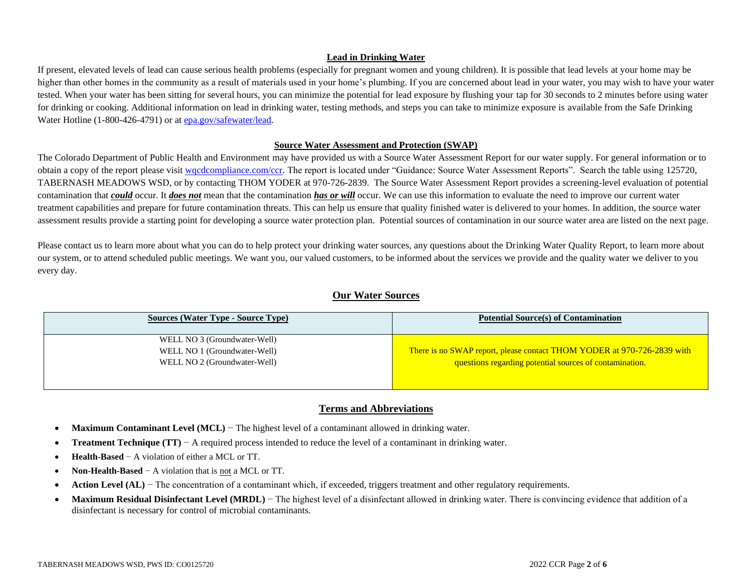### **Lead in Drinking Water**

If present, elevated levels of lead can cause serious health problems (especially for pregnant women and young children). It is possible that lead levels at your home may be higher than other homes in the community as a result of materials used in your home's plumbing. If you are concerned about lead in your water, you may wish to have your water tested. When your water has been sitting for several hours, you can minimize the potential for lead exposure by flushing your tap for 30 seconds to 2 minutes before using water for drinking or cooking. Additional information on lead in drinking water, testing methods, and steps you can take to minimize exposure is available from the Safe Drinking Water Hotline (1-800-426-4791) or a[t epa.gov/safewater/lead.](http://www.epa.gov/safewater/lead)

#### **Source Water Assessment and Protection (SWAP)**

The Colorado Department of Public Health and Environment may have provided us with a Source Water Assessment Report for our water supply. For general information or to obtain a copy of the report please visit wordcompliance.com/ccr. The report is located under "Guidance: Source Water Assessment Reports". Search the table using 125720, TABERNASH MEADOWS WSD, or by contacting THOM YODER at 970-726-2839. The Source Water Assessment Report provides a screening-level evaluation of potential contamination that *could* occur. It *does not* mean that the contamination *has or will* occur. We can use this information to evaluate the need to improve our current water treatment capabilities and prepare for future contamination threats. This can help us ensure that quality finished water is delivered to your homes. In addition, the source water assessment results provide a starting point for developing a source water protection plan. Potential sources of contamination in our source water area are listed on the next page.

Please contact us to learn more about what you can do to help protect your drinking water sources, any questions about the Drinking Water Quality Report, to learn more about our system, or to attend scheduled public meetings. We want you, our valued customers, to be informed about the services we provide and the quality water we deliver to you every day.

## **Our Water Sources**

| <b>Sources (Water Type - Source Type)</b> | <b>Potential Source(s) of Contamination</b>                             |
|-------------------------------------------|-------------------------------------------------------------------------|
| WELL NO 3 (Groundwater-Well)              |                                                                         |
| WELL NO 1 (Groundwater-Well)              | There is no SWAP report, please contact THOM YODER at 970-726-2839 with |
| WELL NO 2 (Groundwater-Well)              | questions regarding potential sources of contamination.                 |
|                                           |                                                                         |

## **Terms and Abbreviations**

- **Maximum Contaminant Level (MCL)** − The highest level of a contaminant allowed in drinking water.
- **Treatment Technique (TT)** − A required process intended to reduce the level of a contaminant in drinking water.
- **Health-Based** − A violation of either a MCL or TT.
- **Non-Health-Based** − A violation that is not a MCL or TT.
- **Action Level (AL)** − The concentration of a contaminant which, if exceeded, triggers treatment and other regulatory requirements.
- Maximum Residual Disinfectant Level (MRDL) The highest level of a disinfectant allowed in drinking water. There is convincing evidence that addition of a disinfectant is necessary for control of microbial contaminants.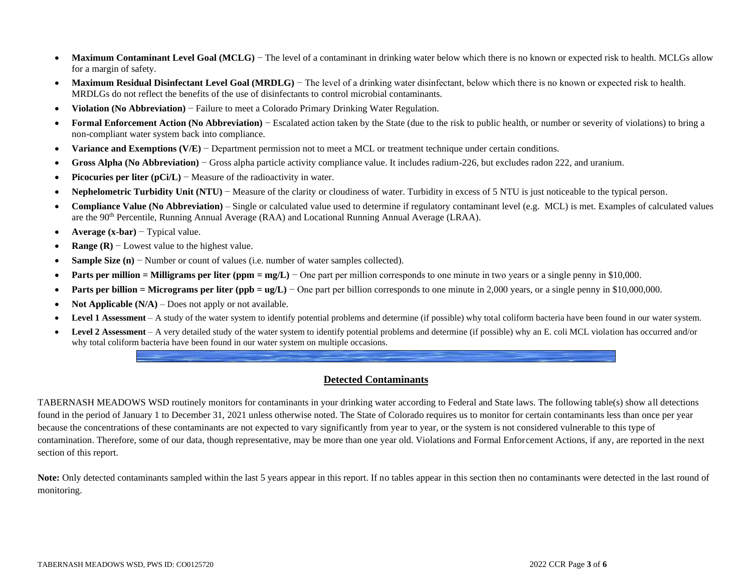- Maximum Contaminant Level Goal (MCLG) The level of a contaminant in drinking water below which there is no known or expected risk to health. MCLGs allow for a margin of safety.
- **Maximum Residual Disinfectant Level Goal (MRDLG)** The level of a drinking water disinfectant, below which there is no known or expected risk to health. MRDLGs do not reflect the benefits of the use of disinfectants to control microbial contaminants.
- **Violation (No Abbreviation)** − Failure to meet a Colorado Primary Drinking Water Regulation.
- **Formal Enforcement Action (No Abbreviation)** − Escalated action taken by the State (due to the risk to public health, or number or severity of violations) to bring a non-compliant water system back into compliance.
- **Variance and Exemptions (V/E)** − Department permission not to meet a MCL or treatment technique under certain conditions.
- **Gross Alpha (No Abbreviation)** − Gross alpha particle activity compliance value. It includes radium-226, but excludes radon 222, and uranium.
- **Picocuries per liter (pCi/L)** − Measure of the radioactivity in water.
- **Nephelometric Turbidity Unit (NTU)** − Measure of the clarity or cloudiness of water. Turbidity in excess of 5 NTU is just noticeable to the typical person.
- **Compliance Value (No Abbreviation)** Single or calculated value used to determine if regulatory contaminant level (e.g. MCL) is met. Examples of calculated values are the 90th Percentile, Running Annual Average (RAA) and Locational Running Annual Average (LRAA).
- **Average (x-bar)** − Typical value.
- **Range (R)** − Lowest value to the highest value.
- **Sample Size (n)** − Number or count of values (i.e. number of water samples collected).
- **• Parts per million = Milligrams per liter (ppm = mg/L)** One part per million corresponds to one minute in two years or a single penny in \$10,000.
- **Parts per billion = Micrograms per liter (ppb = ug/L)** One part per billion corresponds to one minute in 2,000 years, or a single penny in \$10,000,000.
- **Not Applicable (N/A)** Does not apply or not available.
- **Level 1 Assessment** A study of the water system to identify potential problems and determine (if possible) why total coliform bacteria have been found in our water system.
- Level 2 Assessment A very detailed study of the water system to identify potential problems and determine (if possible) why an E. coli MCL violation has occurred and/or why total coliform bacteria have been found in our water system on multiple occasions.

## **Detected Contaminants**

TABERNASH MEADOWS WSD routinely monitors for contaminants in your drinking water according to Federal and State laws. The following table(s) show all detections found in the period of January 1 to December 31, 2021 unless otherwise noted. The State of Colorado requires us to monitor for certain contaminants less than once per year because the concentrations of these contaminants are not expected to vary significantly from year to year, or the system is not considered vulnerable to this type of contamination. Therefore, some of our data, though representative, may be more than one year old. Violations and Formal Enforcement Actions, if any, are reported in the next section of this report.

Note: Only detected contaminants sampled within the last 5 years appear in this report. If no tables appear in this section then no contaminants were detected in the last round of monitoring.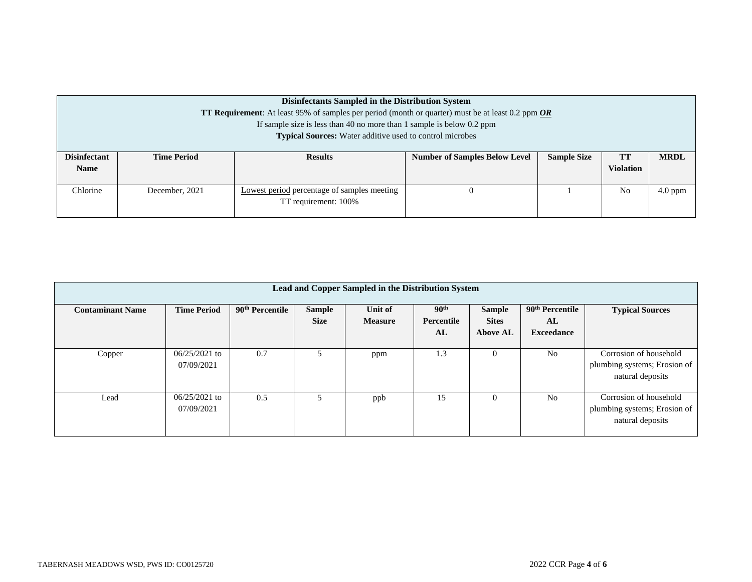| Disinfectants Sampled in the Distribution System<br>TT Requirement: At least 95% of samples per period (month or quarter) must be at least 0.2 ppm OR<br>If sample size is less than 40 no more than 1 sample is below 0.2 ppm<br><b>Typical Sources:</b> Water additive used to control microbes |                    |                                                                     |                                      |                    |                        |             |  |  |
|---------------------------------------------------------------------------------------------------------------------------------------------------------------------------------------------------------------------------------------------------------------------------------------------------|--------------------|---------------------------------------------------------------------|--------------------------------------|--------------------|------------------------|-------------|--|--|
| <b>Disinfectant</b><br><b>Name</b>                                                                                                                                                                                                                                                                | <b>Time Period</b> | <b>Results</b>                                                      | <b>Number of Samples Below Level</b> | <b>Sample Size</b> | TT<br><b>Violation</b> | <b>MRDL</b> |  |  |
| Chlorine                                                                                                                                                                                                                                                                                          | December, 2021     | Lowest period percentage of samples meeting<br>TT requirement: 100% |                                      |                    | N <sub>0</sub>         | $4.0$ ppm   |  |  |

| Lead and Copper Sampled in the Distribution System |                               |                             |                              |                           |                                      |                                                  |                                                        |                                                                            |  |  |
|----------------------------------------------------|-------------------------------|-----------------------------|------------------------------|---------------------------|--------------------------------------|--------------------------------------------------|--------------------------------------------------------|----------------------------------------------------------------------------|--|--|
| <b>Contaminant Name</b>                            | <b>Time Period</b>            | 90 <sup>th</sup> Percentile | <b>Sample</b><br><b>Size</b> | Unit of<br><b>Measure</b> | 90 <sup>th</sup><br>Percentile<br>AL | <b>Sample</b><br><b>Sites</b><br><b>Above AL</b> | 90 <sup>th</sup> Percentile<br>AL<br><b>Exceedance</b> | <b>Typical Sources</b>                                                     |  |  |
| Copper                                             | $06/25/2021$ to<br>07/09/2021 | 0.7                         | 5                            | ppm                       | 1.3                                  | $\theta$                                         | N <sub>o</sub>                                         | Corrosion of household<br>plumbing systems; Erosion of<br>natural deposits |  |  |
| Lead                                               | $06/25/2021$ to<br>07/09/2021 | 0.5                         | 5                            | ppb                       | 15                                   | $\Omega$                                         | N <sub>o</sub>                                         | Corrosion of household<br>plumbing systems; Erosion of<br>natural deposits |  |  |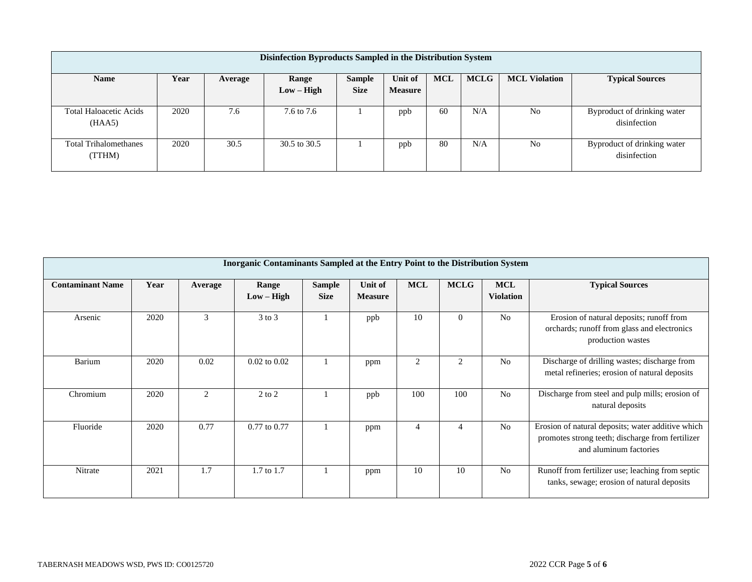| Disinfection Byproducts Sampled in the Distribution System |      |         |              |               |                |            |             |                      |                                             |  |
|------------------------------------------------------------|------|---------|--------------|---------------|----------------|------------|-------------|----------------------|---------------------------------------------|--|
| <b>Name</b>                                                | Year | Average | Range        | <b>Sample</b> | Unit of        | <b>MCL</b> | <b>MCLG</b> | <b>MCL Violation</b> | <b>Typical Sources</b>                      |  |
|                                                            |      |         | $Low - High$ | <b>Size</b>   | <b>Measure</b> |            |             |                      |                                             |  |
| <b>Total Haloacetic Acids</b><br>(HAA5)                    | 2020 | 7.6     | 7.6 to 7.6   |               | ppb            | 60         | N/A         | N <sub>0</sub>       | Byproduct of drinking water<br>disinfection |  |
| <b>Total Trihalomethanes</b><br>(TTHM)                     | 2020 | 30.5    | 30.5 to 30.5 |               | ppb            | 80         | N/A         | N <sub>0</sub>       | Byproduct of drinking water<br>disinfection |  |

| <b>Inorganic Contaminants Sampled at the Entry Point to the Distribution System</b> |      |         |                       |                              |                           |            |               |                                |                                                                                                                                 |  |
|-------------------------------------------------------------------------------------|------|---------|-----------------------|------------------------------|---------------------------|------------|---------------|--------------------------------|---------------------------------------------------------------------------------------------------------------------------------|--|
| <b>Contaminant Name</b>                                                             | Year | Average | Range<br>$Low - High$ | <b>Sample</b><br><b>Size</b> | Unit of<br><b>Measure</b> | <b>MCL</b> | <b>MCLG</b>   | <b>MCL</b><br><b>Violation</b> | <b>Typical Sources</b>                                                                                                          |  |
| Arsenic                                                                             | 2020 | 3       | $3$ to $3$            |                              | ppb                       | 10         | $\Omega$      | N <sub>0</sub>                 | Erosion of natural deposits; runoff from<br>orchards; runoff from glass and electronics<br>production wastes                    |  |
| Barium                                                                              | 2020 | 0.02    | $0.02$ to $0.02$      |                              | ppm                       | 2          | $\mathcal{L}$ | N <sub>0</sub>                 | Discharge of drilling wastes; discharge from<br>metal refineries; erosion of natural deposits                                   |  |
| Chromium                                                                            | 2020 | 2       | $2$ to $2$            |                              | ppb                       | 100        | 100           | N <sub>0</sub>                 | Discharge from steel and pulp mills; erosion of<br>natural deposits                                                             |  |
| Fluoride                                                                            | 2020 | 0.77    | $0.77$ to $0.77$      |                              | ppm                       | 4          |               | N <sub>0</sub>                 | Erosion of natural deposits; water additive which<br>promotes strong teeth; discharge from fertilizer<br>and aluminum factories |  |
| Nitrate                                                                             | 2021 | 1.7     | $1.7 \text{ to } 1.7$ |                              | ppm                       | 10         | 10            | N <sub>0</sub>                 | Runoff from fertilizer use; leaching from septic<br>tanks, sewage; erosion of natural deposits                                  |  |